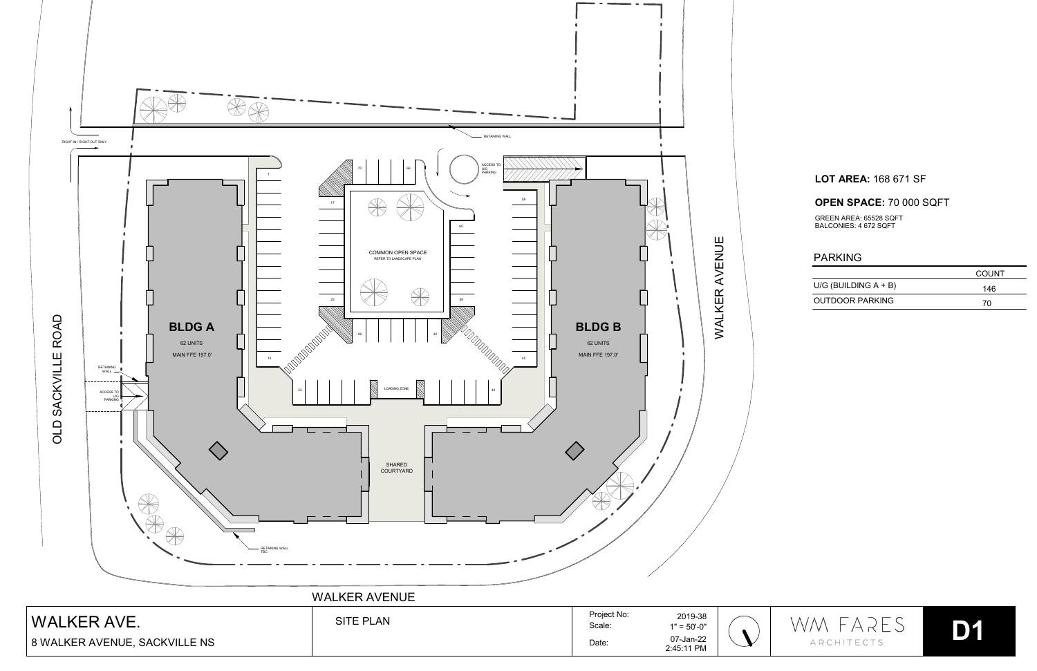

## **LOT AREA:** 168 671 SF

## **OPEN SPACE:** 70 000 SQFT

## PARKING

|                         | COUNT |
|-------------------------|-------|
| U/G (BUILDING $A + B$ ) | 146   |
| OUTDOOR PARKING         | 70    |





GREEN AREA: 65528 SQFT BALCONIES: 4 672 SQFT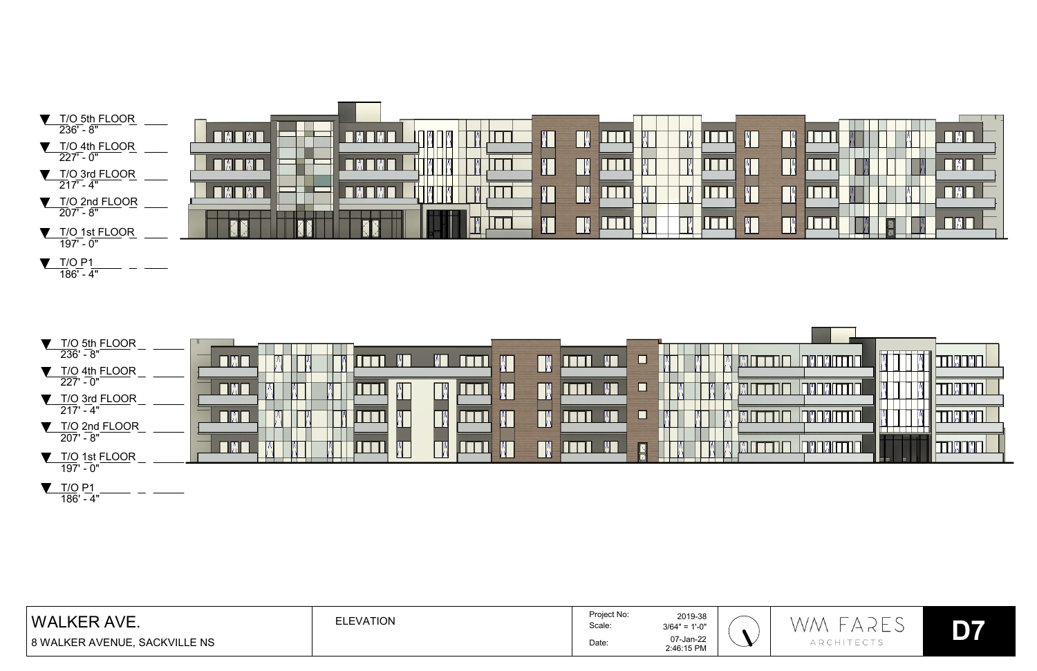

| T/O 5th FLOOR<br>$236' - 8''$            | - IMA | Е       |
|------------------------------------------|-------|---------|
| T/O 4th FLOOR<br>$\overline{227'} - 0''$ |       | $\Box$  |
| T/O 3rd FLOOR<br>$217' - 4"$             |       | $\Box$  |
| T/O 2nd FLOOR<br>$207' - 8''$            |       |         |
| T/O 1st FLOOR                            |       | N<br>71 |
| $197' - 0''$                             |       |         |

| WAL.<br>AVE.<br><b>KFR</b>    | <b>ELEVATION</b> | Project No:<br>Scale: | 2019-38<br>$3/64" = 1'-0"$ | 一                        | $-$<br>$\lambda$<br>– |    |
|-------------------------------|------------------|-----------------------|----------------------------|--------------------------|-----------------------|----|
| 8 WALKER AVENUE, SACKVILLE NS |                  | Date:                 | 07-Jan-22<br>2:46:15 PM    | $\overline{\phantom{a}}$ | $-1$                  | __ |

<u>T/O P1</u><br>186' - 4"

|  |  | $\mathbf{U}$ |
|--|--|--------------|
|  |  |              |
|  |  | n,           |
|  |  | n,           |